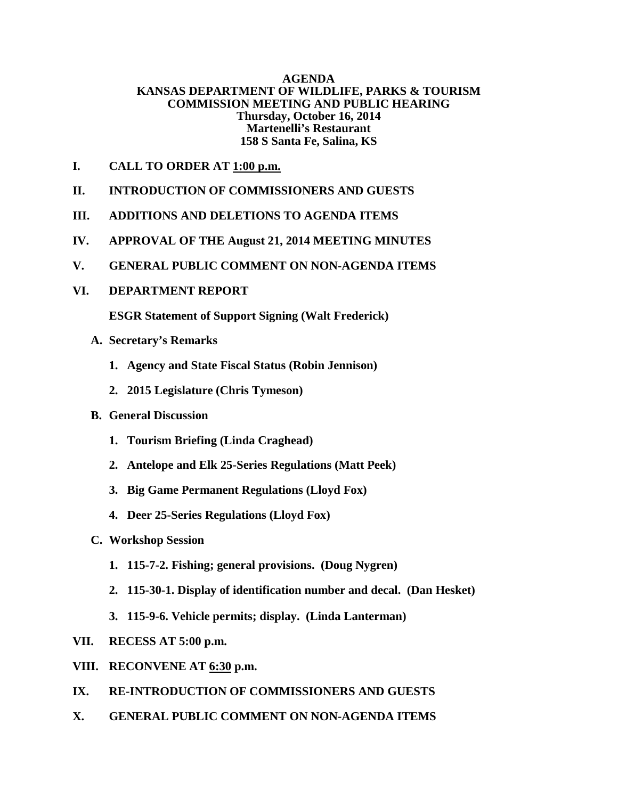# **AGENDA KANSAS DEPARTMENT OF WILDLIFE, PARKS & TOURISM COMMISSION MEETING AND PUBLIC HEARING Thursday, October 16, 2014 Martenelli's Restaurant 158 S Santa Fe, Salina, KS**

- **I. CALL TO ORDER AT 1:00 p.m.**
- **II. INTRODUCTION OF COMMISSIONERS AND GUESTS**
- **III. ADDITIONS AND DELETIONS TO AGENDA ITEMS**
- **IV. APPROVAL OF THE August 21, 2014 MEETING MINUTES**
- **V. GENERAL PUBLIC COMMENT ON NON-AGENDA ITEMS**
- **VI. DEPARTMENT REPORT**

**ESGR Statement of Support Signing (Walt Frederick)**

- **A. Secretary's Remarks**
	- **1. Agency and State Fiscal Status (Robin Jennison)**
	- **2. 2015 Legislature (Chris Tymeson)**
- **B. General Discussion** 
	- **1. Tourism Briefing (Linda Craghead)**
	- **2. Antelope and Elk 25-Series Regulations (Matt Peek)**
	- **3. Big Game Permanent Regulations (Lloyd Fox)**
	- **4. Deer 25-Series Regulations (Lloyd Fox)**
- **C. Workshop Session** 
	- **1. 115-7-2. Fishing; general provisions. (Doug Nygren)**
	- **2. 115-30-1. Display of identification number and decal. (Dan Hesket)**
	- **3. 115-9-6. Vehicle permits; display. (Linda Lanterman)**
- **VII. RECESS AT 5:00 p.m.**
- **VIII. RECONVENE AT 6:30 p.m.**
- **IX. RE-INTRODUCTION OF COMMISSIONERS AND GUESTS**
- **X. GENERAL PUBLIC COMMENT ON NON-AGENDA ITEMS**